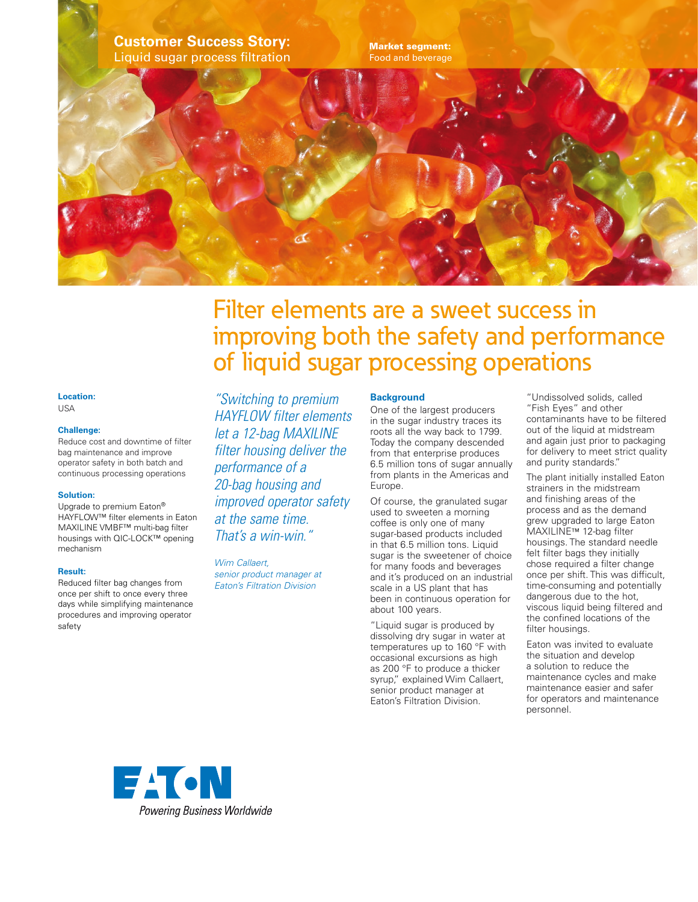

Market segment: Food and beverage



# Filter elements are a sweet success in improving both the safety and performance of liquid sugar processing operations

**Location:** USA

# **Challenge:**

Reduce cost and downtime of filter bag maintenance and improve operator safety in both batch and continuous processing operations

#### **Solution:**

Upgrade to premium Eaton® HAYFLOW™ filter elements in Eaton MAXILINE VMBF™ multi-bag filter housings with QIC-LOCK™ opening mechanism

### **Result:**

Reduced filter bag changes from once per shift to once every three days while simplifying maintenance procedures and improving operator safety

*"Switching to premium HAYFLOW filter elements let a 12-bag MAXILINE filter housing deliver the performance of a 20-bag housing and improved operator safety at the same time. That's a win-win."*

*Wim Callaert, senior product manager at Eaton's Filtration Division*

# **Background**

One of the largest producers in the sugar industry traces its roots all the way back to 1799. Today the company descended from that enterprise produces 6.5 million tons of sugar annually from plants in the Americas and Europe.

Of course, the granulated sugar used to sweeten a morning coffee is only one of many sugar-based products included in that 6.5 million tons. Liquid sugar is the sweetener of choice for many foods and beverages and it's produced on an industrial scale in a US plant that has been in continuous operation for about 100 years.

"Liquid sugar is produced by dissolving dry sugar in water at temperatures up to 160 °F with occasional excursions as high as 200 °F to produce a thicker syrup," explained Wim Callaert, senior product manager at Eaton's Filtration Division.

"Undissolved solids, called "Fish Eyes" and other contaminants have to be filtered out of the liquid at midstream and again just prior to packaging for delivery to meet strict quality and purity standards."

The plant initially installed Eaton strainers in the midstream and finishing areas of the process and as the demand grew upgraded to large Eaton MAXILINE™ 12-bag filter housings. The standard needle felt filter bags they initially chose required a filter change once per shift. This was difficult, time-consuming and potentially dangerous due to the hot, viscous liquid being filtered and the confined locations of the filter housings.

Eaton was invited to evaluate the situation and develop a solution to reduce the maintenance cycles and make maintenance easier and safer for operators and maintenance personnel.